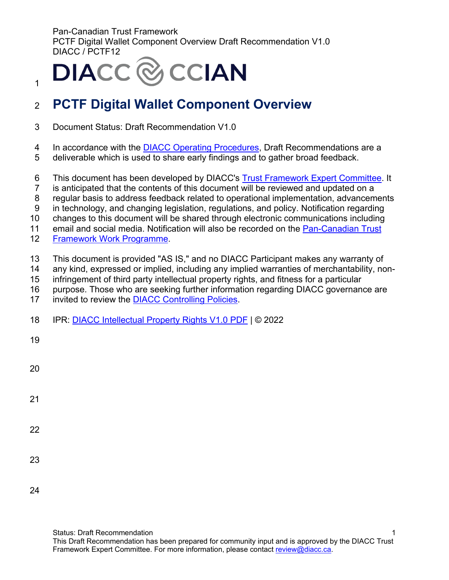**DIACC** & CCIAN

# <sup>2</sup>**PCTF Digital Wallet Component Overview**

- 3 Document Status: Draft Recommendation V1.0
- 4 In accordance with the [DIACC Operating Procedures,](https://can01.safelinks.protection.outlook.com/?url=https%3A%2F%2Fdiacc.ca%2Fcontrolling-policies%2F&data=02%7C01%7Cerika.macphee%40becker-carroll.com%7Ced9a402501484c806da008d8036401f1%7Ce7e3e0637a104f0f9cbc2e661383895e%7C0%7C0%7C637263075353689765&sdata=Z7tlYHM1mBaA8Gk%2FLNeeJwmiIOzmoIdc9dukNrP9X7g%3D&reserved=0) Draft Recommendations are a
- 5 deliverable which is used to share early findings and to gather broad feedback.
- 6 This document has been developed by DIACC's [Trust Framework Expert Committee.](https://can01.safelinks.protection.outlook.com/?url=https%3A%2F%2Fdiacc.ca%2Fthe-diacc%2Fcommittees%2F&data=02%7C01%7Cerika.macphee%40becker-carroll.com%7Ced9a402501484c806da008d8036401f1%7Ce7e3e0637a104f0f9cbc2e661383895e%7C0%7C0%7C637263075353699761&sdata=SHRfl3oOrTTYFXiY1i4fXuB1aYTZkVlU3QB3l9%2BQCA8%3D&reserved=0) It
- 7 is anticipated that the contents of this document will be reviewed and updated on a
- 8 regular basis to address feedback related to operational implementation, advancements
- 9 in technology, and changing legislation, regulations, and policy. Notification regarding
- 10 changes to this document will be shared through electronic communications including
- 11 email and social media. Notification will also be recorded on the [Pan-Canadian Trust](https://can01.safelinks.protection.outlook.com/?url=https%3A%2F%2Fdiacc.ca%2Ftrust-framework%2F&data=02%7C01%7Cerika.macphee%40becker-carroll.com%7Ced9a402501484c806da008d8036401f1%7Ce7e3e0637a104f0f9cbc2e661383895e%7C0%7C0%7C637263075353699761&sdata=0a%2BY8j2y16CbIozJwC5%2FXcvvJLBKPrqwXcY2SlMnD%2FQ%3D&reserved=0)
- 12 [Framework Work Programme.](https://can01.safelinks.protection.outlook.com/?url=https%3A%2F%2Fdiacc.ca%2Ftrust-framework%2F&data=02%7C01%7Cerika.macphee%40becker-carroll.com%7Ced9a402501484c806da008d8036401f1%7Ce7e3e0637a104f0f9cbc2e661383895e%7C0%7C0%7C637263075353699761&sdata=0a%2BY8j2y16CbIozJwC5%2FXcvvJLBKPrqwXcY2SlMnD%2FQ%3D&reserved=0)
- 13 This document is provided "AS IS," and no DIACC Participant makes any warranty of
- 14 any kind, expressed or implied, including any implied warranties of merchantability, non-
- 15 infringement of third party intellectual property rights, and fitness for a particular
- 16 purpose. Those who are seeking further information regarding DIACC governance are
- 17 invited to review the [DIACC Controlling Policies.](https://can01.safelinks.protection.outlook.com/?url=https%3A%2F%2Fdiacc.ca%2Fcontrolling-policies%2F&data=02%7C01%7Cerika.macphee%40becker-carroll.com%7Ced9a402501484c806da008d8036401f1%7Ce7e3e0637a104f0f9cbc2e661383895e%7C0%7C0%7C637263075353709758&sdata=NueZpNK0sqSIJTTCDh88Q5OlqvoCMgmjAt052zTDRpI%3D&reserved=0)
- 18 IPR: [DIACC Intellectual Property Rights V1.0 PDF](https://diacc.ca/wp-content/uploads/2020/05/DIACC-Intellectual-Property-Rights-V1.pdf) | © 2022

19

1

| I<br>×<br>۰.<br>- |  |
|-------------------|--|

- 
- 21
- 
- 22
- 23
- 24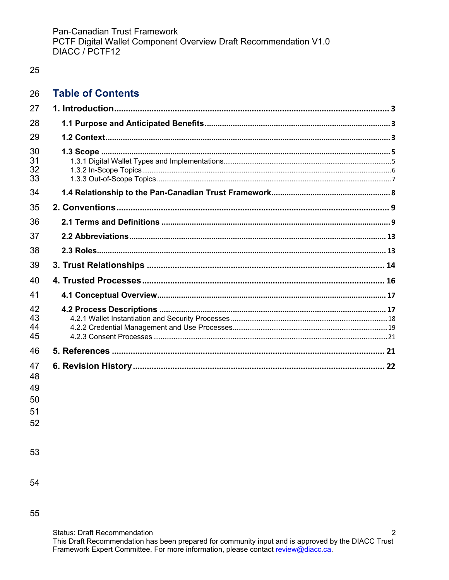## 25

#### 26 **Table of Contents**

| 27                   |  |
|----------------------|--|
| 28                   |  |
| 29                   |  |
| 30<br>31<br>32<br>33 |  |
| 34                   |  |
| 35                   |  |
| 36                   |  |
| 37                   |  |
| 38                   |  |
| 39                   |  |
| 40                   |  |
| 41                   |  |
| 42<br>43<br>44<br>45 |  |
| 46                   |  |
| 47<br>48             |  |

49 50

51

52

53

54

55

**Status: Draft Recommendation**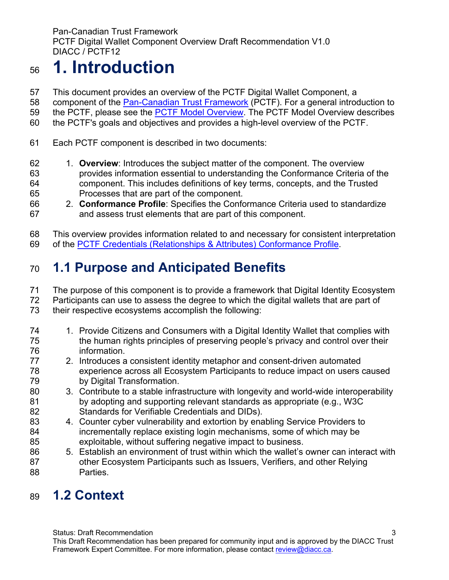# <span id="page-2-0"></span>**1. Introduction**

- This document provides an overview of the PCTF Digital Wallet Component, a
- component of the [Pan-Canadian Trust Framework](https://diacc.ca/trust-framework/) (PCTF). For a general introduction to
- 59 the PCTF, please see the [PCTF Model Overview.](https://diacc.ca/trust-framework/pctf-model/) The PCTF Model Overview describes
- the PCTF's goals and objectives and provides a high-level overview of the PCTF.
- Each PCTF component is described in two documents:
- 1. **Overview**: Introduces the subject matter of the component. The overview provides information essential to understanding the Conformance Criteria of the component. This includes definitions of key terms, concepts, and the Trusted Processes that are part of the component.
- 2. **Conformance Profile**: Specifies the Conformance Criteria used to standardize and assess trust elements that are part of this component.

This overview provides information related to and necessary for consistent interpretation

of the PCTF [Credentials \(Relationships & Attributes\) Conformance Profile.](https://diacc.ca/wp-content/uploads/2020/09/PCTF-Credentials-Relationships-Attributes-Conformance-Criteria-Final-Recommendation-V1.0.pdf)

# <span id="page-2-1"></span>**1.1 Purpose and Anticipated Benefits**

- The purpose of this component is to provide a framework that Digital Identity Ecosystem
- Participants can use to assess the degree to which the digital wallets that are part of
- their respective ecosystems accomplish the following:
- 74 1. Provide Citizens and Consumers with a Digital Identity Wallet that complies with the human rights principles of preserving people's privacy and control over their information.
- 2. Introduces a consistent identity metaphor and consent-driven automated experience across all Ecosystem Participants to reduce impact on users caused by Digital Transformation.
- 3. Contribute to a stable infrastructure with longevity and world-wide interoperability by adopting and supporting relevant standards as appropriate (e.g., W3C Standards for Verifiable Credentials and DIDs).
- 4. Counter cyber vulnerability and extortion by enabling Service Providers to incrementally replace existing login mechanisms, some of which may be exploitable, without suffering negative impact to business.
- 5. Establish an environment of trust within which the wallet's owner can interact with other Ecosystem Participants such as Issuers, Verifiers, and other Relying Parties.

# <span id="page-2-2"></span>**1.2 Context**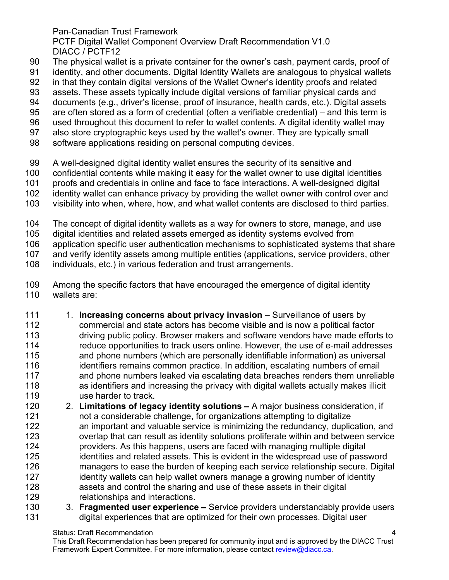PCTF Digital Wallet Component Overview Draft Recommendation V1.0 DIACC / PCTF12

- The physical wallet is a private container for the owner's cash, payment cards, proof of
- identity, and other documents. Digital Identity Wallets are analogous to physical wallets
- in that they contain digital versions of the Wallet Owner's identity proofs and related
- assets. These assets typically include digital versions of familiar physical cards and
- documents (e.g., driver's license, proof of insurance, health cards, etc.). Digital assets
- are often stored as a form of credential (often a verifiable credential) and this term is
- used throughout this document to refer to wallet contents. A digital identity wallet may
- also store cryptographic keys used by the wallet's owner. They are typically small
- software applications residing on personal computing devices.
- A well-designed digital identity wallet ensures the security of its sensitive and
- confidential contents while making it easy for the wallet owner to use digital identities
- 101 proofs and credentials in online and face to face interactions. A well-designed digital<br>102 identity wallet can enhance privacy by providing the wallet owner with control over an
- identity wallet can enhance privacy by providing the wallet owner with control over and
- visibility into when, where, how, and what wallet contents are disclosed to third parties.
- The concept of digital identity wallets as a way for owners to store, manage, and use
- digital identities and related assets emerged as identity systems evolved from
- application specific user authentication mechanisms to sophisticated systems that share

and verify identity assets among multiple entities (applications, service providers, other

- individuals, etc.) in various federation and trust arrangements.
- Among the specific factors that have encouraged the emergence of digital identity wallets are:
- 1. **Increasing concerns about privacy invasion** Surveillance of users by commercial and state actors has become visible and is now a political factor driving public policy. Browser makers and software vendors have made efforts to 114 reduce opportunities to track users online. However, the use of e-mail addresses<br>115 and phone numbers (which are personally identifiable information) as universal and phone numbers (which are personally identifiable information) as universal 116 identifiers remains common practice. In addition, escalating numbers of email and phone numbers leaked via escalating data breaches renders them unreliable as identifiers and increasing the privacy with digital wallets actually makes illicit use harder to track.
- 2. **Limitations of legacy identity solutions** A major business consideration, if not a considerable challenge, for organizations attempting to digitalize an important and valuable service is minimizing the redundancy, duplication, and overlap that can result as identity solutions proliferate within and between service providers. As this happens, users are faced with managing multiple digital identities and related assets. This is evident in the widespread use of password managers to ease the burden of keeping each service relationship secure. Digital 127 identity wallets can help wallet owners manage a growing number of identity assets and control the sharing and use of these assets in their digital relationships and interactions.
- 3. **Fragmented user experience –** Service providers understandably provide users digital experiences that are optimized for their own processes. Digital user

Status: Draft Recommendation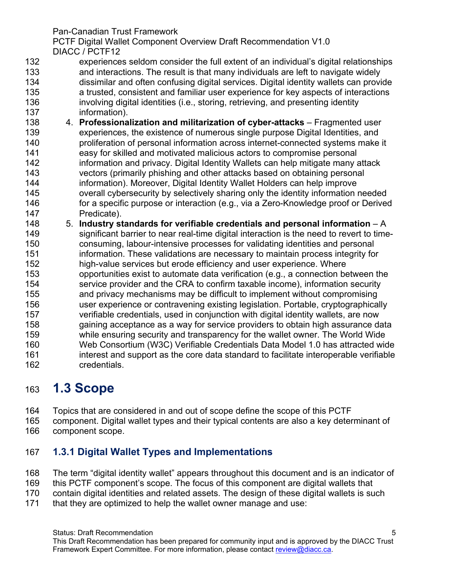PCTF Digital Wallet Component Overview Draft Recommendation V1.0 DIACC / PCTF12

- experiences seldom consider the full extent of an individual's digital relationships and interactions. The result is that many individuals are left to navigate widely dissimilar and often confusing digital services. Digital identity wallets can provide a trusted, consistent and familiar user experience for key aspects of interactions involving digital identities (i.e., storing, retrieving, and presenting identity information).
- 4. **Professionalization and militarization of cyber-attacks** Fragmented user experiences, the existence of numerous single purpose Digital Identities, and proliferation of personal information across internet-connected systems make it easy for skilled and motivated malicious actors to compromise personal **information and privacy. Digital Identity Wallets can help mitigate many attack**  vectors (primarily phishing and other attacks based on obtaining personal information). Moreover, Digital Identity Wallet Holders can help improve overall cybersecurity by selectively sharing only the identity information needed for a specific purpose or interaction (e.g., via a Zero-Knowledge proof or Derived Predicate).
- 5. **Industry standards for verifiable credentials and personal information** A significant barrier to near real-time digital interaction is the need to revert to time- consuming, labour-intensive processes for validating identities and personal information. These validations are necessary to maintain process integrity for 152 high-value services but erode efficiency and user experience. Where<br>153 opportunities exist to automate data verification (e.g., a connection be opportunities exist to automate data verification (e.g., a connection between the service provider and the CRA to confirm taxable income), information security and privacy mechanisms may be difficult to implement without compromising user experience or contravening existing legislation. Portable, cryptographically verifiable credentials, used in conjunction with digital identity wallets, are now gaining acceptance as a way for service providers to obtain high assurance data while ensuring security and transparency for the wallet owner. The World Wide Web Consortium (W3C) Verifiable Credentials Data Model 1.0 has attracted wide interest and support as the core data standard to facilitate interoperable verifiable credentials.

# <span id="page-4-0"></span>**1.3 Scope**

- Topics that are considered in and out of scope define the scope of this PCTF
- component. Digital wallet types and their typical contents are also a key determinant of component scope.

# <span id="page-4-1"></span>**1.3.1 Digital Wallet Types and Implementations**

- The term "digital identity wallet" appears throughout this document and is an indicator of
- this PCTF component's scope. The focus of this component are digital wallets that
- contain digital identities and related assets. The design of these digital wallets is such
- that they are optimized to help the wallet owner manage and use: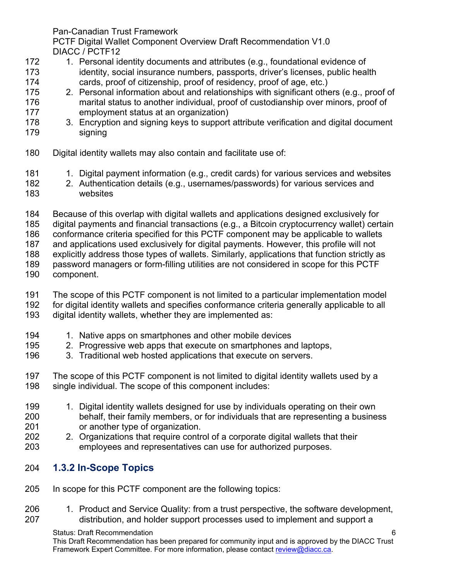PCTF Digital Wallet Component Overview Draft Recommendation V1.0 DIACC / PCTF12

- 172 1. Personal identity documents and attributes (e.g., foundational evidence of 173 identity, social insurance numbers, passports, driver's licenses, public health 174 cards, proof of citizenship, proof of residency, proof of age, etc.)
- 175 2. Personal information about and relationships with significant others (e.g., proof of
- 176 marital status to another individual, proof of custodianship over minors, proof of 177 employment status at an organization)
- 178 3. Encryption and signing keys to support attribute verification and digital document 179 signing
- 180 Digital identity wallets may also contain and facilitate use of:
- 181 1. Digital payment information (e.g., credit cards) for various services and websites
- 182 2. Authentication details (e.g., usernames/passwords) for various services and websites
- 184 Because of this overlap with digital wallets and applications designed exclusively for
- 185 digital payments and financial transactions (e.g., a Bitcoin cryptocurrency wallet) certain
- 186 conformance criteria specified for this PCTF component may be applicable to wallets
- 187 and applications used exclusively for digital payments. However, this profile will not
- explicitly address those types of wallets. Similarly, applications that function strictly as
- 189 password managers or form-filling utilities are not considered in scope for this PCTF
- component.
- 191 The scope of this PCTF component is not limited to a particular implementation model
- 192 for digital identity wallets and specifies conformance criteria generally applicable to all<br>193 digital identity wallets, whether they are implemented as:
- digital identity wallets, whether they are implemented as:
- 194 1. Native apps on smartphones and other mobile devices
- 195 2. Progressive web apps that execute on smartphones and laptops,<br>196 3. Traditional web hosted applications that execute on servers.
- 3. Traditional web hosted applications that execute on servers.
- 197 The scope of this PCTF component is not limited to digital identity wallets used by a 198 single individual. The scope of this component includes:
- 199 1. Digital identity wallets designed for use by individuals operating on their own 200 behalf, their family members, or for individuals that are representing a business 201 or another type of organization.
- 202 2. Organizations that require control of a corporate digital wallets that their 203 employees and representatives can use for authorized purposes.
- <span id="page-5-0"></span>204 **1.3.2 In-Scope Topics**
- 205 In scope for this PCTF component are the following topics:
- 206 1. Product and Service Quality: from a trust perspective, the software development, 207 distribution, and holder support processes used to implement and support a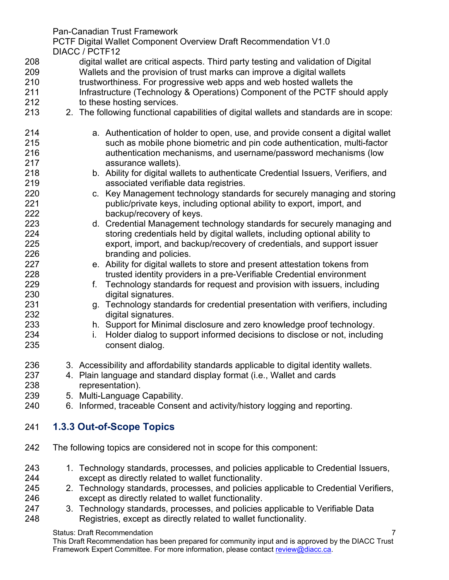PCTF Digital Wallet Component Overview Draft Recommendation V1.0 DIACC / PCTF12

- digital wallet are critical aspects. Third party testing and validation of Digital Wallets and the provision of trust marks can improve a digital wallets 210 trustworthiness. For progressive web apps and web hosted wallets the Infrastructure (Technology & Operations) Component of the PCTF should apply 212 to these hosting services.
- 2. The following functional capabilities of digital wallets and standards are in scope:
- a. Authentication of holder to open, use, and provide consent a digital wallet such as mobile phone biometric and pin code authentication, multi-factor authentication mechanisms, and username/password mechanisms (low assurance wallets).
- b. Ability for digital wallets to authenticate Credential Issuers, Verifiers, and
- 219 **associated verifiable data registries.**<br>220 **c.** Key Management technology standa c. Key Management technology standards for securely managing and storing public/private keys, including optional ability to export, import, and backup/recovery of keys.
- d. Credential Management technology standards for securely managing and storing credentials held by digital wallets, including optional ability to export, import, and backup/recovery of credentials, and support issuer branding and policies.
- e. Ability for digital wallets to store and present attestation tokens from trusted identity providers in a pre-Verifiable Credential environment
- f. Technology standards for request and provision with issuers, including digital signatures.
- g. Technology standards for credential presentation with verifiers, including digital signatures.
- h. Support for Minimal disclosure and zero knowledge proof technology.
- i. Holder dialog to support informed decisions to disclose or not, including consent dialog.
- 3. Accessibility and affordability standards applicable to digital identity wallets.
- 4. Plain language and standard display format (i.e., Wallet and cards representation).
- 5. Multi-Language Capability.
- 6. Informed, traceable Consent and activity/history logging and reporting.

# <span id="page-6-0"></span>**1.3.3 Out-of-Scope Topics**

- The following topics are considered not in scope for this component:
- 1. Technology standards, processes, and policies applicable to Credential Issuers, except as directly related to wallet functionality.
- 2. Technology standards, processes, and policies applicable to Credential Verifiers, except as directly related to wallet functionality.
- 3. Technology standards, processes, and policies applicable to Verifiable Data Registries, except as directly related to wallet functionality.

#### Status: Draft Recommendation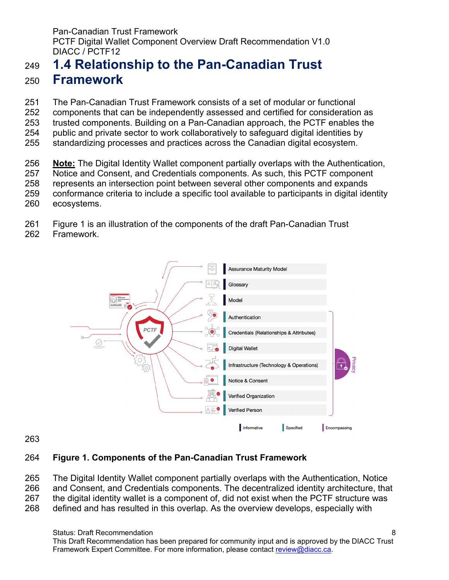# <span id="page-7-0"></span> **1.4 Relationship to the Pan-Canadian Trust Framework**

 The Pan-Canadian Trust Framework consists of a set of modular or functional components that can be independently assessed and certified for consideration as trusted components. Building on a Pan-Canadian approach, the PCTF enables the public and private sector to work collaboratively to safeguard digital identities by standardizing processes and practices across the Canadian digital ecosystem.

 **Note:** The Digital Identity Wallet component partially overlaps with the Authentication, Notice and Consent, and Credentials components. As such, this PCTF component represents an intersection point between several other components and expands conformance criteria to include a specific tool available to participants in digital identity ecosystems.

Figure 1 is an illustration of the components of the draft Pan-Canadian Trust

Framework.



## **Figure 1. Components of the Pan-Canadian Trust Framework**

 The Digital Identity Wallet component partially overlaps with the Authentication, Notice and Consent, and Credentials components. The decentralized identity architecture, that the digital identity wallet is a component of, did not exist when the PCTF structure was

defined and has resulted in this overlap. As the overview develops, especially with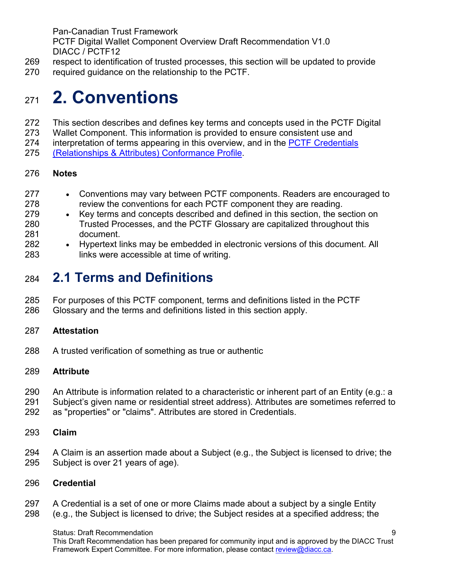- respect to identification of trusted processes, this section will be updated to provide
- required guidance on the relationship to the PCTF.

# <span id="page-8-0"></span>**2. Conventions**

- This section describes and defines key terms and concepts used in the PCTF Digital
- Wallet Component. This information is provided to ensure consistent use and
- 274 interpretation of terms appearing in this overview, and in the PCTF Credentials
- [\(Relationships & Attributes\) Conformance Profile.](https://diacc.ca/wp-content/uploads/2020/09/PCTF-Credentials-Relationships-Attributes-Conformance-Criteria-Final-Recommendation-V1.0.pdf)

### **Notes**

- Conventions may vary between PCTF components. Readers are encouraged to 278 review the conventions for each PCTF component they are reading.
- Key terms and concepts described and defined in this section, the section on Trusted Processes, and the PCTF Glossary are capitalized throughout this document.
- Hypertext links may be embedded in electronic versions of this document. All links were accessible at time of writing.

# <span id="page-8-1"></span>**2.1 Terms and Definitions**

- For purposes of this PCTF component, terms and definitions listed in the PCTF
- Glossary and the terms and definitions listed in this section apply.

## **Attestation**

A trusted verification of something as true or authentic

## **Attribute**

- An Attribute is information related to a characteristic or inherent part of an Entity (e.g.: a
- Subject's given name or residential street address). Attributes are sometimes referred to
- as "properties" or "claims". Attributes are stored in Credentials.
- **Claim**
- A Claim is an assertion made about a Subject (e.g., the Subject is licensed to drive; the Subject is over 21 years of age).

#### **Credential**

- A Credential is a set of one or more Claims made about a subject by a single Entity
- (e.g., the Subject is licensed to drive; the Subject resides at a specified address; the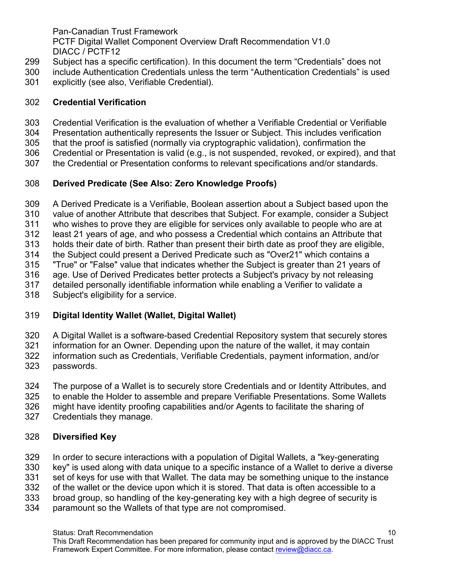PCTF Digital Wallet Component Overview Draft Recommendation V1.0 DIACC / PCTF12

- Subject has a specific certification). In this document the term "Credentials" does not
- include Authentication Credentials unless the term "Authentication Credentials" is used
- explicitly (see also, Verifiable Credential).

## **Credential Verification**

- 303 Credential Verification is the evaluation of whether a Verifiable Credential or Verifiable<br>304 Presentation authentically represents the Issuer or Subject. This includes verification
- Presentation authentically represents the Issuer or Subject. This includes verification
- that the proof is satisfied (normally via cryptographic validation), confirmation the
- Credential or Presentation is valid (e.g., is not suspended, revoked, or expired), and that
- the Credential or Presentation conforms to relevant specifications and/or standards.

# **Derived Predicate (See Also: Zero Knowledge Proofs)**

- A Derived Predicate is a Verifiable, Boolean assertion about a Subject based upon the
- value of another Attribute that describes that Subject. For example, consider a Subject
- who wishes to prove they are eligible for services only available to people who are at
- least 21 years of age, and who possess a Credential which contains an Attribute that
- holds their date of birth. Rather than present their birth date as proof they are eligible,
- the Subject could present a Derived Predicate such as "Over21" which contains a "True" or "False" value that indicates whether the Subject is greater than 21 years of
- 
- age. Use of Derived Predicates better protects a Subject's privacy by not releasing
- detailed personally identifiable information while enabling a Verifier to validate a
- Subject's eligibility for a service.

# **Digital Identity Wallet (Wallet, Digital Wallet)**

- A Digital Wallet is a software-based Credential Repository system that securely stores
- 321 information for an Owner. Depending upon the nature of the wallet, it may contain<br>322 information such as Credentials, Verifiable Credentials, payment information, and/ information such as Credentials, Verifiable Credentials, payment information, and/or
- passwords.
- The purpose of a Wallet is to securely store Credentials and or Identity Attributes, and
- to enable the Holder to assemble and prepare Verifiable Presentations. Some Wallets
- might have identity proofing capabilities and/or Agents to facilitate the sharing of
- Credentials they manage.

# **Diversified Key**

- In order to secure interactions with a population of Digital Wallets, a "key-generating
- key" is used along with data unique to a specific instance of a Wallet to derive a diverse
- set of keys for use with that Wallet. The data may be something unique to the instance
- of the wallet or the device upon which it is stored. That data is often accessible to a
- broad group, so handling of the key-generating key with a high degree of security is
- paramount so the Wallets of that type are not compromised.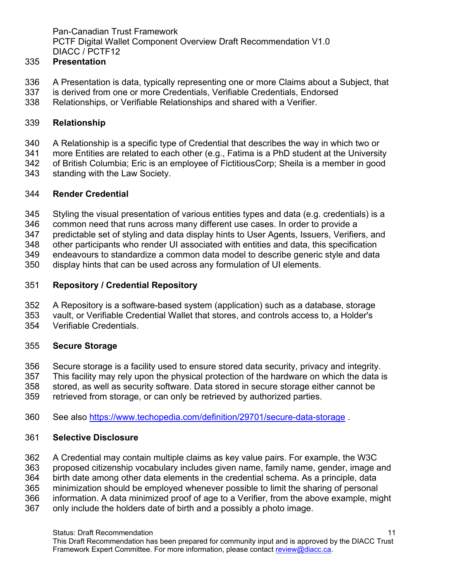### **Presentation**

- A Presentation is data, typically representing one or more Claims about a Subject, that
- is derived from one or more Credentials, Verifiable Credentials, Endorsed
- Relationships, or Verifiable Relationships and shared with a Verifier.

#### **Relationship**

- A Relationship is a specific type of Credential that describes the way in which two or
- more Entities are related to each other (e.g., Fatima is a PhD student at the University
- of British Columbia; Eric is an employee of FictitiousCorp; Sheila is a member in good
- standing with the Law Society.

#### **Render Credential**

- Styling the visual presentation of various entities types and data (e.g. credentials) is a
- common need that runs across many different use cases. In order to provide a
- predictable set of styling and data display hints to User Agents, Issuers, Verifiers, and
- other participants who render UI associated with entities and data, this specification
- endeavours to standardize a common data model to describe generic style and data
- display hints that can be used across any formulation of UI elements.

### **Repository / Credential Repository**

- A Repository is a software-based system (application) such as a database, storage
- vault, or Verifiable Credential Wallet that stores, and controls access to, a Holder's
- Verifiable Credentials.

## **Secure Storage**

- Secure storage is a facility used to ensure stored data security, privacy and integrity.
- This facility may rely upon the physical protection of the hardware on which the data is
- stored, as well as security software. Data stored in secure storage either cannot be
- retrieved from storage, or can only be retrieved by authorized parties.
- See also <https://www.techopedia.com/definition/29701/secure-data-storage>.

#### **Selective Disclosure**

- A Credential may contain multiple claims as key value pairs. For example, the W3C
- proposed citizenship vocabulary includes given name, family name, gender, image and
- birth date among other data elements in the credential schema. As a principle, data
- minimization should be employed whenever possible to limit the sharing of personal
- information. A data minimized proof of age to a Verifier, from the above example, might
- only include the holders date of birth and a possibly a photo image.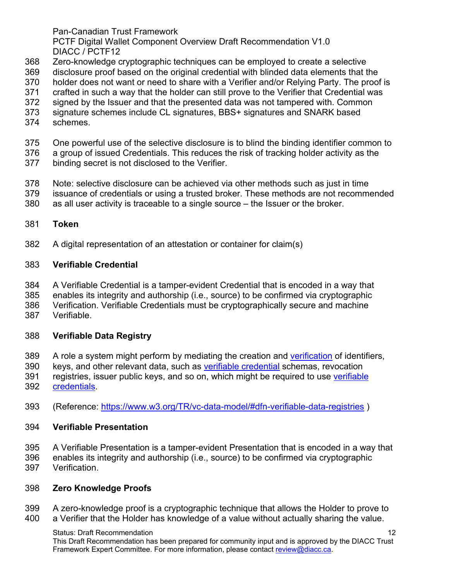PCTF Digital Wallet Component Overview Draft Recommendation V1.0 DIACC / PCTF12

- Zero-knowledge cryptographic techniques can be employed to create a selective
- disclosure proof based on the original credential with blinded data elements that the
- holder does not want or need to share with a Verifier and/or Relying Party. The proof is
- crafted in such a way that the holder can still prove to the Verifier that Credential was
- signed by the Issuer and that the presented data was not tampered with. Common
- signature schemes include CL signatures, BBS+ signatures and SNARK based
- schemes.
- One powerful use of the selective disclosure is to blind the binding identifier common to
- a group of issued Credentials. This reduces the risk of tracking holder activity as the
- binding secret is not disclosed to the Verifier.
- Note: selective disclosure can be achieved via other methods such as just in time
- issuance of credentials or using a trusted broker. These methods are not recommended
- as all user activity is traceable to a single source the Issuer or the broker.

### **Token**

A digital representation of an attestation or container for claim(s)

### **Verifiable Credential**

- A Verifiable Credential is a tamper-evident Credential that is encoded in a way that
- enables its integrity and authorship (i.e., source) to be confirmed via cryptographic
- Verification. Verifiable Credentials must be cryptographically secure and machine
- Verifiable.

## **Verifiable Data Registry**

- 389 A role a system might perform by mediating the creation and [verification](https://www.w3.org/TR/vc-data-model/#dfn-verify) of identifiers,
- keys, and other relevant data, such as [verifiable credential](https://www.w3.org/TR/vc-data-model/#dfn-verifiable-credentials) schemas, revocation
- 391 registries, issuer public keys, and so on, which might be required to use verifiable [credentials.](https://www.w3.org/TR/vc-data-model/#dfn-verifiable-credentials)
- (Reference: <https://www.w3.org/TR/vc-data-model/#dfn-verifiable-data-registries>)

## **Verifiable Presentation**

- A Verifiable Presentation is a tamper-evident Presentation that is encoded in a way that
- enables its integrity and authorship (i.e., source) to be confirmed via cryptographic Verification.
- 

## **Zero Knowledge Proofs**

 A zero-knowledge proof is a cryptographic technique that allows the Holder to prove to a Verifier that the Holder has knowledge of a value without actually sharing the value.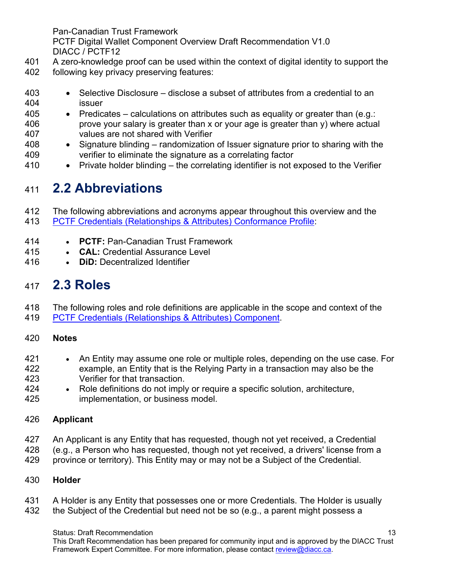PCTF Digital Wallet Component Overview Draft Recommendation V1.0 DIACC / PCTF12

- A zero-knowledge proof can be used within the context of digital identity to support the
- following key privacy preserving features:
- Selective Disclosure disclose a subset of attributes from a credential to an issuer
- Predicates calculations on attributes such as equality or greater than (e.g.: prove your salary is greater than x or your age is greater than y) where actual values are not shared with Verifier
- Signature blinding randomization of Issuer signature prior to sharing with the verifier to eliminate the signature as a correlating factor
- Private holder blinding the correlating identifier is not exposed to the Verifier

# <span id="page-12-0"></span>**2.2 Abbreviations**

 The following abbreviations and acronyms appear throughout this overview and the PCTF [Credentials \(Relationships & Attributes\) Conformance Profile:](https://diacc.ca/wp-content/uploads/2020/09/PCTF-Credentials-Relationships-Attributes-Conformance-Criteria-Final-Recommendation-V1.0.pdf)

- **PCTF:** Pan-Canadian Trust Framework
- 415  **CAL:** Credential Assurance Level<br>416  **DiD:** Decentralized Identifier
- **DiD: Decentralized Identifier**

# <span id="page-12-1"></span>**2.3 Roles**

- The following roles and role definitions are applicable in the scope and context of the PCTF [Credentials \(Relationships & Attributes\) Component.](https://diacc.ca/trust-framework/pctf-credentials/)
- **Notes**
- An Entity may assume one role or multiple roles, depending on the use case. For example, an Entity that is the Relying Party in a transaction may also be the Verifier for that transaction.
- Role definitions do not imply or require a specific solution, architecture, implementation, or business model.

# **Applicant**

- An Applicant is any Entity that has requested, though not yet received, a Credential
- 428 (e.g., a Person who has requested, though not yet received, a drivers' license from a<br>429 province or territory). This Entity may or may not be a Subiect of the Credential.
- province or territory). This Entity may or may not be a Subject of the Credential.

## **Holder**

- A Holder is any Entity that possesses one or more Credentials. The Holder is usually
- 432 the Subject of the Credential but need not be so (e.g., a parent might possess a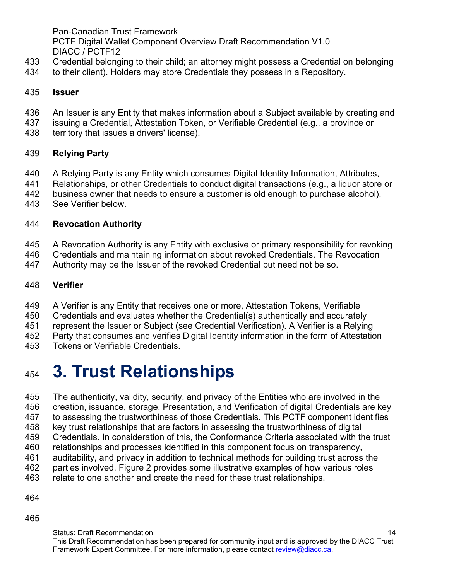PCTF Digital Wallet Component Overview Draft Recommendation V1.0 DIACC / PCTF12

- Credential belonging to their child; an attorney might possess a Credential on belonging
- to their client). Holders may store Credentials they possess in a Repository.

#### **Issuer**

- An Issuer is any Entity that makes information about a Subject available by creating and
- issuing a Credential, Attestation Token, or Verifiable Credential (e.g., a province or
- territory that issues a drivers' license).

## **Relying Party**

- A Relying Party is any Entity which consumes Digital Identity Information, Attributes,
- 441 Relationships, or other Credentials to conduct digital transactions (e.g., a liquor store or<br>442 business owner that needs to ensure a customer is old enough to purchase alcohol).
- business owner that needs to ensure a customer is old enough to purchase alcohol).
- See Verifier below.

## **Revocation Authority**

- A Revocation Authority is any Entity with exclusive or primary responsibility for revoking
- Credentials and maintaining information about revoked Credentials. The Revocation
- Authority may be the Issuer of the revoked Credential but need not be so.

## **Verifier**

- A Verifier is any Entity that receives one or more, Attestation Tokens, Verifiable
- Credentials and evaluates whether the Credential(s) authentically and accurately
- represent the Issuer or Subject (see Credential Verification). A Verifier is a Relying
- Party that consumes and verifies Digital Identity information in the form of Attestation
- Tokens or Verifiable Credentials.

# <span id="page-13-0"></span>**3. Trust Relationships**

The authenticity, validity, security, and privacy of the Entities who are involved in the

- creation, issuance, storage, Presentation, and Verification of digital Credentials are key
- to assessing the trustworthiness of those Credentials. This PCTF component identifies
- key trust relationships that are factors in assessing the trustworthiness of digital
- Credentials. In consideration of this, the Conformance Criteria associated with the trust
- relationships and processes identified in this component focus on transparency,
- auditability, and privacy in addition to technical methods for building trust across the parties involved. Figure 2 provides some illustrative examples of how various roles
- relate to one another and create the need for these trust relationships.
- 
-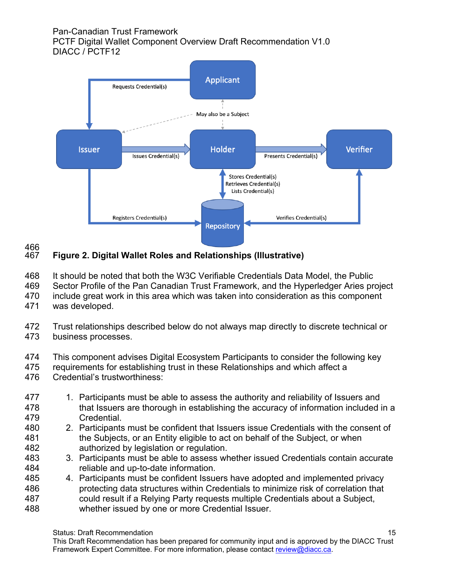PCTF Digital Wallet Component Overview Draft Recommendation V1.0 DIACC / PCTF12



#### 466<br>467 **Figure 2. Digital Wallet Roles and Relationships (Illustrative)**

It should be noted that both the W3C Verifiable Credentials Data Model, the Public

Sector Profile of the Pan Canadian Trust Framework, and the Hyperledger Aries project

- include great work in this area which was taken into consideration as this component
- was developed.
- Trust relationships described below do not always map directly to discrete technical or business processes.
- 474 This component advises Digital Ecosystem Participants to consider the following key<br>475 Frequirements for establishing trust in these Relationships and which affect a
- requirements for establishing trust in these Relationships and which affect a
- Credential's trustworthiness:
- 477 1. Participants must be able to assess the authority and reliability of Issuers and 478 that Issuers are thorough in establishing the accuracy of information included in a Credential.
- 2. Participants must be confident that Issuers issue Credentials with the consent of the Subjects, or an Entity eligible to act on behalf of the Subject, or when authorized by legislation or regulation.
- 3. Participants must be able to assess whether issued Credentials contain accurate reliable and up-to-date information.
- 4. Participants must be confident Issuers have adopted and implemented privacy protecting data structures within Credentials to minimize risk of correlation that could result if a Relying Party requests multiple Credentials about a Subject, whether issued by one or more Credential Issuer.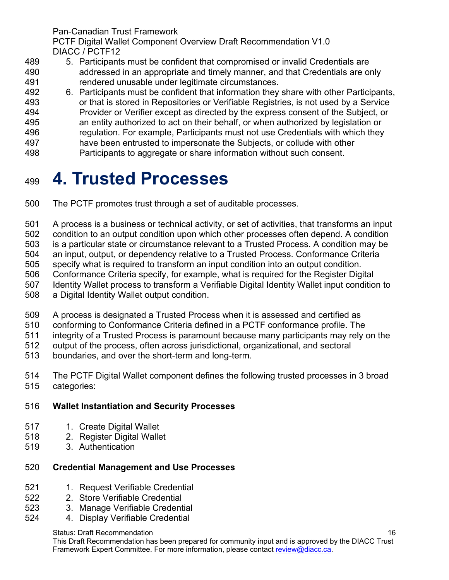PCTF Digital Wallet Component Overview Draft Recommendation V1.0 DIACC / PCTF12

- 5. Participants must be confident that compromised or invalid Credentials are addressed in an appropriate and timely manner, and that Credentials are only rendered unusable under legitimate circumstances.
- 492 6. Participants must be confident that information they share with other Participants,<br>493 or that is stored in Repositories or Verifiable Registries, is not used by a Service
- or that is stored in Repositories or Verifiable Registries, is not used by a Service Provider or Verifier except as directed by the express consent of the Subject, or an entity authorized to act on their behalf, or when authorized by legislation or regulation. For example, Participants must not use Credentials with which they
- have been entrusted to impersonate the Subjects, or collude with other
- Participants to aggregate or share information without such consent.

# <span id="page-15-0"></span>**4. Trusted Processes**

- The PCTF promotes trust through a set of auditable processes.
- A process is a business or technical activity, or set of activities, that transforms an input
- condition to an output condition upon which other processes often depend. A condition
- is a particular state or circumstance relevant to a Trusted Process. A condition may be
- an input, output, or dependency relative to a Trusted Process. Conformance Criteria
- specify what is required to transform an input condition into an output condition.
- Conformance Criteria specify, for example, what is required for the Register Digital
- Identity Wallet process to transform a Verifiable Digital Identity Wallet input condition to
- a Digital Identity Wallet output condition.
- A process is designated a Trusted Process when it is assessed and certified as
- conforming to Conformance Criteria defined in a PCTF conformance profile. The
- integrity of a Trusted Process is paramount because many participants may rely on the
- 512 output of the process, often across jurisdictional, organizational, and sectoral<br>513 boundaries, and over the short-term and long-term.
- boundaries, and over the short-term and long-term.
- The PCTF Digital Wallet component defines the following trusted processes in 3 broad categories:

# **Wallet Instantiation and Security Processes**

- 517 1. Create Digital Wallet
- 2. Register Digital Wallet
- 3. Authentication

# **Credential Management and Use Processes**

- 521 1. Request Verifiable Credential
- 2. Store Verifiable Credential
- 3. Manage Verifiable Credential
- 4. Display Verifiable Credential

Status: Draft Recommendation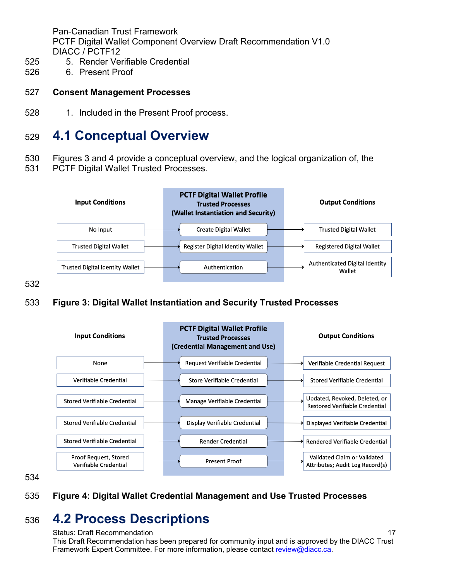- 5. Render Verifiable Credential
- 6. Present Proof

#### **Consent Management Processes**

528 1. Included in the Present Proof process.

# <span id="page-16-0"></span>**4.1 Conceptual Overview**

- Figures 3 and 4 provide a conceptual overview, and the logical organization of, the
- PCTF Digital Wallet Trusted Processes.



- 
- **Figure 3: Digital Wallet Instantiation and Security Trusted Processes**



### **Figure 4: Digital Wallet Credential Management and Use Trusted Processes**

# **4.2 Process Descriptions**

#### <span id="page-16-1"></span>Status: Draft Recommendation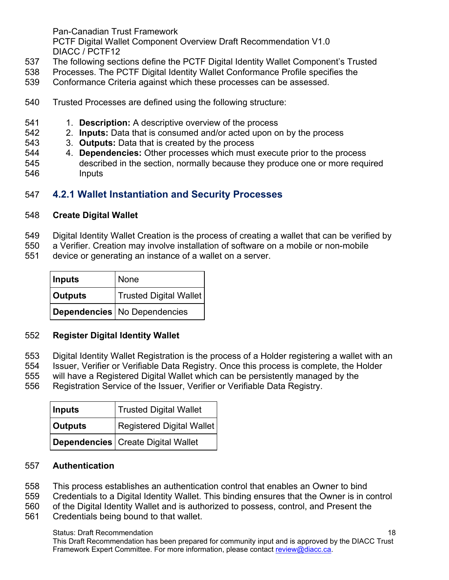PCTF Digital Wallet Component Overview Draft Recommendation V1.0 DIACC / PCTF12

- The following sections define the PCTF Digital Identity Wallet Component's Trusted
- Processes. The PCTF Digital Identity Wallet Conformance Profile specifies the
- Conformance Criteria against which these processes can be assessed.
- Trusted Processes are defined using the following structure:
- 1. **Description:** A descriptive overview of the process
- 2. **Inputs:** Data that is consumed and/or acted upon on by the process
- 3. **Outputs:** Data that is created by the process
- 4. **Dependencies:** Other processes which must execute prior to the process described in the section, normally because they produce one or more required Inputs

## <span id="page-17-0"></span>**4.2.1 Wallet Instantiation and Security Processes**

### **Create Digital Wallet**

- Digital Identity Wallet Creation is the process of creating a wallet that can be verified by
- a Verifier. Creation may involve installation of software on a mobile or non-mobile
- device or generating an instance of a wallet on a server.

| Inputs         | None                           |
|----------------|--------------------------------|
| <b>Outputs</b> | Trusted Digital Wallet         |
|                | Dependencies   No Dependencies |

## **Register Digital Identity Wallet**

- Digital Identity Wallet Registration is the process of a Holder registering a wallet with an
- Issuer, Verifier or Verifiable Data Registry. Once this process is complete, the Holder
- will have a Registered Digital Wallet which can be persistently managed by the
- Registration Service of the Issuer, Verifier or Verifiable Data Registry.

| <b>Inputs</b>  | <b>Trusted Digital Wallet</b>                    |
|----------------|--------------------------------------------------|
| <b>Outputs</b> | $^\dagger$ Registered Digital Wallet $\parallel$ |
|                | Dependencies   Create Digital Wallet             |

#### **Authentication**

- This process establishes an authentication control that enables an Owner to bind
- Credentials to a Digital Identity Wallet. This binding ensures that the Owner is in control
- of the Digital Identity Wallet and is authorized to possess, control, and Present the
- Credentials being bound to that wallet.

#### Status: Draft Recommendation

This Draft Recommendation has been prepared for community input and is approved by the DIACC Trust Framework Expert Committee. For more information, please contact review@diacc.ca.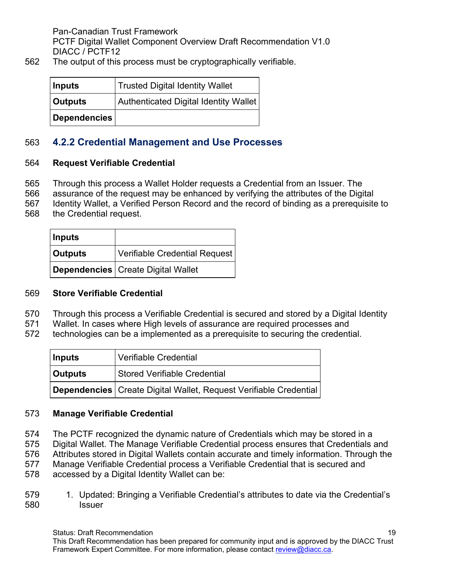562 The output of this process must be cryptographically verifiable.

| Inputs         | <b>Trusted Digital Identity Wallet</b> |
|----------------|----------------------------------------|
| <b>Outputs</b> | Authenticated Digital Identity Wallet  |
| Dependencies   |                                        |

## <span id="page-18-0"></span>563 **4.2.2 Credential Management and Use Processes**

### 564 **Request Verifiable Credential**

- 565 Through this process a Wallet Holder requests a Credential from an Issuer. The
- 566 assurance of the request may be enhanced by verifying the attributes of the Digital
- 567 Identity Wallet, a Verified Person Record and the record of binding as a prerequisite to
- 568 the Credential request.

| Inputs         |                                      |
|----------------|--------------------------------------|
| <b>Outputs</b> | Verifiable Credential Request        |
|                | Dependencies   Create Digital Wallet |

#### 569 **Store Verifiable Credential**

- 570 Through this process a Verifiable Credential is secured and stored by a Digital Identity
- 571 Wallet. In cases where High levels of assurance are required processes and
- 572 technologies can be a implemented as a prerequisite to securing the credential.

| Inputs         | <b>Verifiable Credential</b>                                        |
|----------------|---------------------------------------------------------------------|
| <b>Outputs</b> | <b>Stored Verifiable Credential</b>                                 |
|                | Dependencies   Create Digital Wallet, Request Verifiable Credential |

#### 573 **Manage Verifiable Credential**

- 574 The PCTF recognized the dynamic nature of Credentials which may be stored in a
- 575 Digital Wallet. The Manage Verifiable Credential process ensures that Credentials and
- 576 Attributes stored in Digital Wallets contain accurate and timely information. Through the
- 577 Manage Verifiable Credential process a Verifiable Credential that is secured and
- 578 accessed by a Digital Identity Wallet can be:
- 579 1. Updated: Bringing a Verifiable Credential's attributes to date via the Credential's 580 Issuer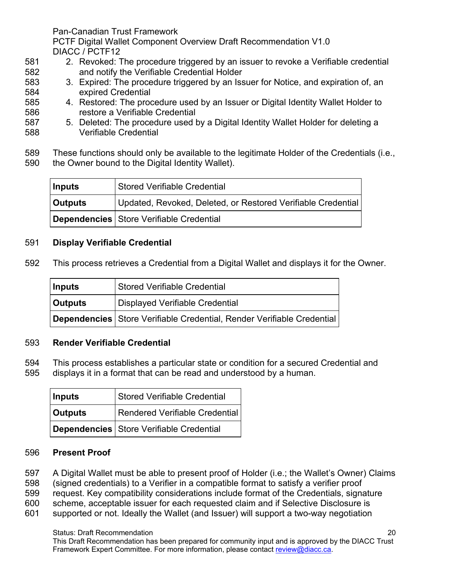PCTF Digital Wallet Component Overview Draft Recommendation V1.0 DIACC / PCTF12

- 581 2. Revoked: The procedure triggered by an issuer to revoke a Verifiable credential 582 and notify the Verifiable Credential Holder
- 583 3. Expired: The procedure triggered by an Issuer for Notice, and expiration of, an 584 expired Credential
- 585 4. Restored: The procedure used by an Issuer or Digital Identity Wallet Holder to 586 restore a Verifiable Credential
- 587 5. Deleted: The procedure used by a Digital Identity Wallet Holder for deleting a 588 Verifiable Credential
- 589 These functions should only be available to the legitimate Holder of the Credentials (i.e.,
- 590 the Owner bound to the Digital Identity Wallet).

| Inputs  | Stored Verifiable Credential                                 |  |
|---------|--------------------------------------------------------------|--|
| Outputs | Updated, Revoked, Deleted, or Restored Verifiable Credential |  |
|         | Dependencies   Store Verifiable Credential                   |  |

### 591 **Display Verifiable Credential**

592 This process retrieves a Credential from a Digital Wallet and displays it for the Owner.

| Inputs  | <b>Stored Verifiable Credential</b>                                    |  |
|---------|------------------------------------------------------------------------|--|
| Outputs | Displayed Verifiable Credential                                        |  |
|         | Dependencies Store Verifiable Credential, Render Verifiable Credential |  |

#### 593 **Render Verifiable Credential**

- 594 This process establishes a particular state or condition for a secured Credential and
- 595 displays it in a format that can be read and understood by a human.

| <b>Inputs</b> | <b>Stored Verifiable Credential</b>        |
|---------------|--------------------------------------------|
| Outputs       | Rendered Verifiable Credential             |
|               | Dependencies   Store Verifiable Credential |

#### 596 **Present Proof**

- 597 A Digital Wallet must be able to present proof of Holder (i.e.; the Wallet's Owner) Claims
- 598 (signed credentials) to a Verifier in a compatible format to satisfy a verifier proof
- 599 request. Key compatibility considerations include format of the Credentials, signature
- 600 scheme, acceptable issuer for each requested claim and if Selective Disclosure is
- 601 supported or not. Ideally the Wallet (and Issuer) will support a two-way negotiation

# Status: Draft Recommendation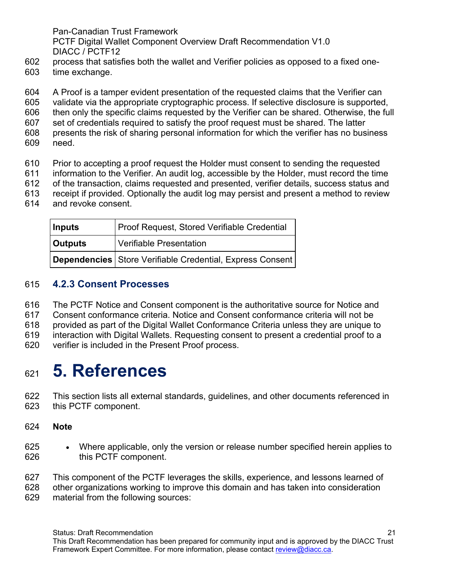PCTF Digital Wallet Component Overview Draft Recommendation V1.0 DIACC / PCTF12

- process that satisfies both the wallet and Verifier policies as opposed to a fixed one-
- time exchange.

A Proof is a tamper evident presentation of the requested claims that the Verifier can

- validate via the appropriate cryptographic process. If selective disclosure is supported,
- then only the specific claims requested by the Verifier can be shared. Otherwise, the full
- set of credentials required to satisfy the proof request must be shared. The latter
- presents the risk of sharing personal information for which the verifier has no business
- need.
- Prior to accepting a proof request the Holder must consent to sending the requested
- information to the Verifier. An audit log, accessible by the Holder, must record the time
- of the transaction, claims requested and presented, verifier details, success status and
- receipt if provided. Optionally the audit log may persist and present a method to review
- and revoke consent.

| <b>Inputs</b>  | <b>Proof Request, Stored Verifiable Credential</b>        |
|----------------|-----------------------------------------------------------|
| <b>Outputs</b> | Verifiable Presentation                                   |
|                | Dependencies Store Verifiable Credential, Express Consent |

# <span id="page-20-0"></span>**4.2.3 Consent Processes**

The PCTF Notice and Consent component is the authoritative source for Notice and

- Consent conformance criteria. Notice and Consent conformance criteria will not be
- provided as part of the Digital Wallet Conformance Criteria unless they are unique to
- interaction with Digital Wallets. Requesting consent to present a credential proof to a
- verifier is included in the Present Proof process.

# <span id="page-20-1"></span>**5. References**

- This section lists all external standards, guidelines, and other documents referenced in this PCTF component.
- **Note**
- Where applicable, only the version or release number specified herein applies to this PCTF component.

 This component of the PCTF leverages the skills, experience, and lessons learned of other organizations working to improve this domain and has taken into consideration material from the following sources: